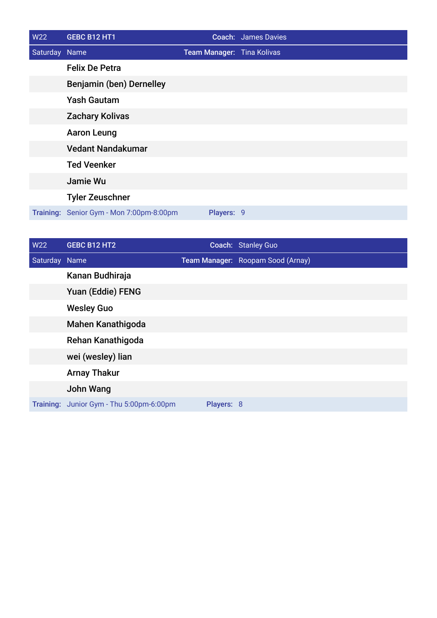| W22           | GEBC B12 HT1                             |                            | <b>Coach: James Davies</b> |
|---------------|------------------------------------------|----------------------------|----------------------------|
| Saturday Name |                                          | Team Manager: Tina Kolivas |                            |
|               | <b>Felix De Petra</b>                    |                            |                            |
|               | Benjamin (ben) Dernelley                 |                            |                            |
|               | <b>Yash Gautam</b>                       |                            |                            |
|               | <b>Zachary Kolivas</b>                   |                            |                            |
|               | <b>Aaron Leung</b>                       |                            |                            |
|               | <b>Vedant Nandakumar</b>                 |                            |                            |
|               | <b>Ted Veenker</b>                       |                            |                            |
|               | Jamie Wu                                 |                            |                            |
|               | <b>Tyler Zeuschner</b>                   |                            |                            |
|               | Training: Senior Gym - Mon 7:00pm-8:00pm | Players: 9                 |                            |

| W22           | GEBC B12 HT2                             |            | Coach: Stanley Guo                |
|---------------|------------------------------------------|------------|-----------------------------------|
| Saturday Name |                                          |            | Team Manager: Roopam Sood (Arnay) |
|               | Kanan Budhiraja                          |            |                                   |
|               | Yuan (Eddie) FENG                        |            |                                   |
|               | <b>Wesley Guo</b>                        |            |                                   |
|               | <b>Mahen Kanathigoda</b>                 |            |                                   |
|               | Rehan Kanathigoda                        |            |                                   |
|               | wei (wesley) lian                        |            |                                   |
|               | <b>Arnay Thakur</b>                      |            |                                   |
|               | <b>John Wang</b>                         |            |                                   |
|               | Training: Junior Gym - Thu 5:00pm-6:00pm | Players: 8 |                                   |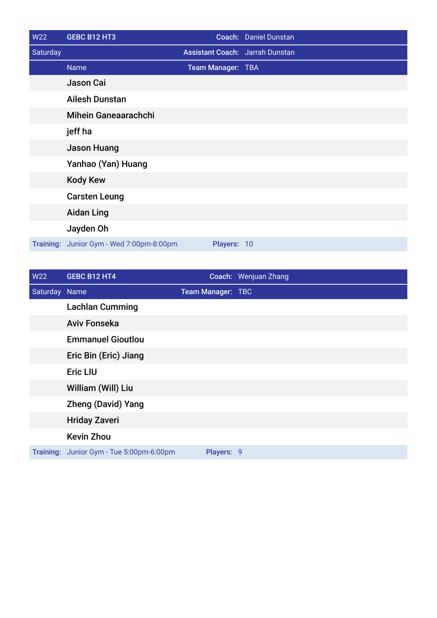| <b>W22</b> | GEBC B12 HT3                   |                   | Coach: Daniel Dunstan                  |
|------------|--------------------------------|-------------------|----------------------------------------|
| Saturday   |                                |                   | <b>Assistant Coach: Jarrah Dunstan</b> |
|            | <b>Name</b>                    | Team Manager: TBA |                                        |
|            | Jason Cai                      |                   |                                        |
|            | <b>Ailesh Dunstan</b>          |                   |                                        |
|            | <b>Mihein Ganeaarachchi</b>    |                   |                                        |
|            | jeff ha                        |                   |                                        |
|            | <b>Jason Huang</b>             |                   |                                        |
|            | Yanhao (Yan) Huang             |                   |                                        |
|            | <b>Kody Kew</b>                |                   |                                        |
|            | <b>Carsten Leung</b>           |                   |                                        |
|            | <b>Aidan Ling</b>              |                   |                                        |
|            | Jayden Oh                      |                   |                                        |
| Training:  | Junior Gym - Wed 7:00pm-8:00pm | Players: 10       |                                        |

| W22           | GEBC B12 HT4                             |                   | Coach: Wenjuan Zhang |
|---------------|------------------------------------------|-------------------|----------------------|
| Saturday Name |                                          | Team Manager: TBC |                      |
|               | <b>Lachlan Cumming</b>                   |                   |                      |
|               | <b>Aviv Fonseka</b>                      |                   |                      |
|               | <b>Emmanuel Gioutlou</b>                 |                   |                      |
|               | Eric Bin (Eric) Jiang                    |                   |                      |
|               | <b>Eric LIU</b>                          |                   |                      |
|               | William (Will) Liu                       |                   |                      |
|               | <b>Zheng (David) Yang</b>                |                   |                      |
|               | <b>Hriday Zaveri</b>                     |                   |                      |
|               | <b>Kevin Zhou</b>                        |                   |                      |
|               | Training: Junior Gym - Tue 5:00pm-6:00pm | Players: 9        |                      |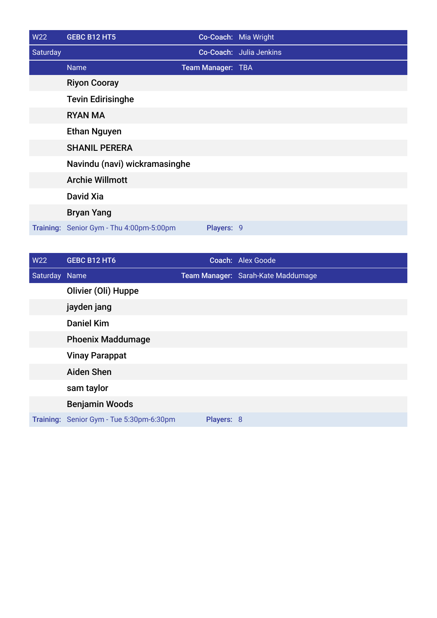| W22      | <b>GEBC B12 HT5</b>                      |                   | Co-Coach: Mia Wright    |
|----------|------------------------------------------|-------------------|-------------------------|
| Saturday |                                          |                   | Co-Coach: Julia Jenkins |
|          | Name <sup>'</sup>                        | Team Manager: TBA |                         |
|          | <b>Riyon Cooray</b>                      |                   |                         |
|          | <b>Tevin Edirisinghe</b>                 |                   |                         |
|          | <b>RYAN MA</b>                           |                   |                         |
|          | <b>Ethan Nguyen</b>                      |                   |                         |
|          | <b>SHANIL PERERA</b>                     |                   |                         |
|          | Navindu (navi) wickramasinghe            |                   |                         |
|          | <b>Archie Willmott</b>                   |                   |                         |
|          | David Xia                                |                   |                         |
|          | <b>Bryan Yang</b>                        |                   |                         |
|          | Training: Senior Gym - Thu 4:00pm-5:00pm | Players: 9        |                         |

| <b>W22</b>    | GEBC B12 HT6                             |            | Coach: Alex Goode                  |
|---------------|------------------------------------------|------------|------------------------------------|
| Saturday Name |                                          |            | Team Manager: Sarah-Kate Maddumage |
|               | Olivier (Oli) Huppe                      |            |                                    |
|               | jayden jang                              |            |                                    |
|               | <b>Daniel Kim</b>                        |            |                                    |
|               | <b>Phoenix Maddumage</b>                 |            |                                    |
|               | <b>Vinay Parappat</b>                    |            |                                    |
|               | <b>Aiden Shen</b>                        |            |                                    |
|               | sam taylor                               |            |                                    |
|               | <b>Benjamin Woods</b>                    |            |                                    |
|               | Training: Senior Gym - Tue 5:30pm-6:30pm | Players: 8 |                                    |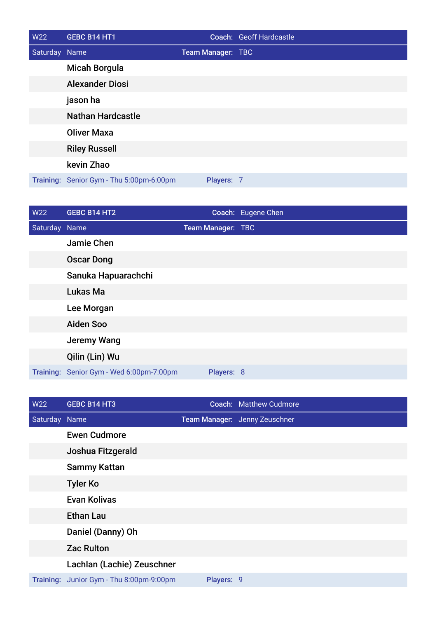| <b>W22</b>    | GEBC B14 HT1                             |                          | Coach: Geoff Hardcastle |
|---------------|------------------------------------------|--------------------------|-------------------------|
| Saturday Name |                                          | <b>Team Manager: TBC</b> |                         |
|               | <b>Micah Borgula</b>                     |                          |                         |
|               | <b>Alexander Diosi</b>                   |                          |                         |
|               | jason ha                                 |                          |                         |
|               | <b>Nathan Hardcastle</b>                 |                          |                         |
|               | <b>Oliver Maxa</b>                       |                          |                         |
|               | <b>Riley Russell</b>                     |                          |                         |
|               | kevin Zhao                               |                          |                         |
|               | Training: Senior Gym - Thu 5:00pm-6:00pm | Players: 7               |                         |

| <b>W22</b>    | <b>GEBC B14 HT2</b>                      |                   | Coach: Eugene Chen |
|---------------|------------------------------------------|-------------------|--------------------|
| Saturday Name |                                          | Team Manager: TBC |                    |
|               | Jamie Chen                               |                   |                    |
|               | <b>Oscar Dong</b>                        |                   |                    |
|               | Sanuka Hapuarachchi                      |                   |                    |
|               | Lukas Ma                                 |                   |                    |
|               | Lee Morgan                               |                   |                    |
|               | <b>Aiden Soo</b>                         |                   |                    |
|               | <b>Jeremy Wang</b>                       |                   |                    |
|               | Qilin (Lin) Wu                           |                   |                    |
|               | Training: Senior Gym - Wed 6:00pm-7:00pm | Players: 8        |                    |

| <b>W22</b>    | <b>GEBC B14 HT3</b>                      |            | <b>Coach: Matthew Cudmore</b> |
|---------------|------------------------------------------|------------|-------------------------------|
| Saturday Name |                                          |            | Team Manager: Jenny Zeuschner |
|               | <b>Ewen Cudmore</b>                      |            |                               |
|               | Joshua Fitzgerald                        |            |                               |
|               | <b>Sammy Kattan</b>                      |            |                               |
|               | <b>Tyler Ko</b>                          |            |                               |
|               | <b>Evan Kolivas</b>                      |            |                               |
|               | <b>Ethan Lau</b>                         |            |                               |
|               | Daniel (Danny) Oh                        |            |                               |
|               | <b>Zac Rulton</b>                        |            |                               |
|               | Lachlan (Lachie) Zeuschner               |            |                               |
|               | Training: Junior Gym - Thu 8:00pm-9:00pm | Players: 9 |                               |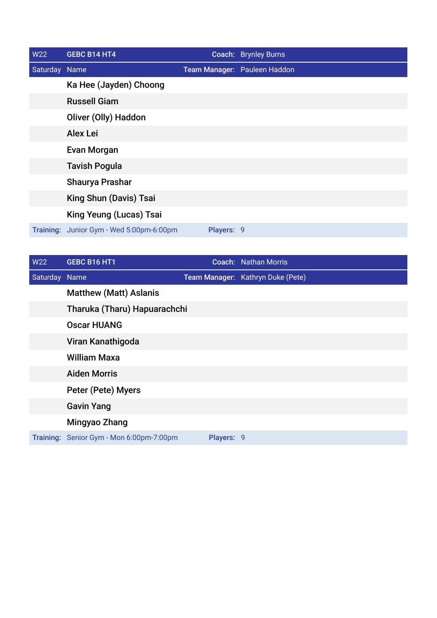| W22           | <b>GEBC B14 HT4</b>                      |            | Coach: Brynley Burns         |
|---------------|------------------------------------------|------------|------------------------------|
| Saturday Name |                                          |            | Team Manager: Pauleen Haddon |
|               | Ka Hee (Jayden) Choong                   |            |                              |
|               | <b>Russell Giam</b>                      |            |                              |
|               | Oliver (Olly) Haddon                     |            |                              |
|               | <b>Alex Lei</b>                          |            |                              |
|               | Evan Morgan                              |            |                              |
|               | <b>Tavish Pogula</b>                     |            |                              |
|               | Shaurya Prashar                          |            |                              |
|               | King Shun (Davis) Tsai                   |            |                              |
|               | King Yeung (Lucas) Tsai                  |            |                              |
|               | Training: Junior Gym - Wed 5:00pm-6:00pm | Players: 9 |                              |

| <b>W22</b>    | GEBC B16 HT1                             |            | <b>Coach: Nathan Morris</b>       |
|---------------|------------------------------------------|------------|-----------------------------------|
| Saturday Name |                                          |            | Team Manager: Kathryn Duke (Pete) |
|               | <b>Matthew (Matt) Aslanis</b>            |            |                                   |
|               | Tharuka (Tharu) Hapuarachchi             |            |                                   |
|               | <b>Oscar HUANG</b>                       |            |                                   |
|               | Viran Kanathigoda                        |            |                                   |
|               | <b>William Maxa</b>                      |            |                                   |
|               | <b>Aiden Morris</b>                      |            |                                   |
|               | Peter (Pete) Myers                       |            |                                   |
|               | <b>Gavin Yang</b>                        |            |                                   |
|               | Mingyao Zhang                            |            |                                   |
|               | Training: Senior Gym - Mon 6:00pm-7:00pm | Players: 9 |                                   |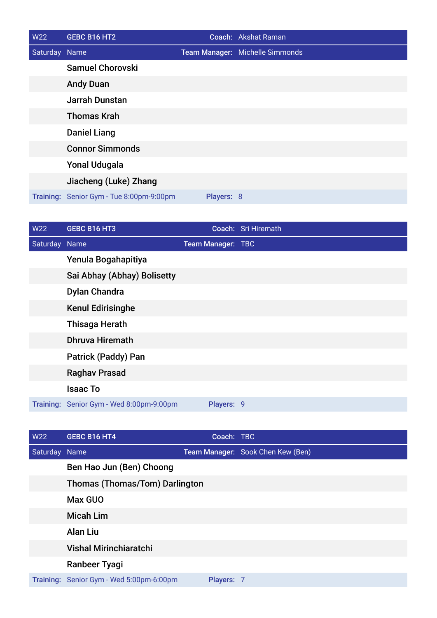| W22           | GEBC B16 HT2                             |            | Coach: Akshat Raman             |
|---------------|------------------------------------------|------------|---------------------------------|
| Saturday Name |                                          |            | Team Manager: Michelle Simmonds |
|               | <b>Samuel Chorovski</b>                  |            |                                 |
|               | <b>Andy Duan</b>                         |            |                                 |
|               | <b>Jarrah Dunstan</b>                    |            |                                 |
|               | <b>Thomas Krah</b>                       |            |                                 |
|               | <b>Daniel Liang</b>                      |            |                                 |
|               | <b>Connor Simmonds</b>                   |            |                                 |
|               | <b>Yonal Udugala</b>                     |            |                                 |
|               | Jiacheng (Luke) Zhang                    |            |                                 |
|               | Training: Senior Gym - Tue 8:00pm-9:00pm | Players: 8 |                                 |

| W22           | GEBC B16 HT3                             |                   | Coach: Sri Hiremath |
|---------------|------------------------------------------|-------------------|---------------------|
| Saturday Name |                                          | Team Manager: TBC |                     |
|               | Yenula Bogahapitiya                      |                   |                     |
|               | Sai Abhay (Abhay) Bolisetty              |                   |                     |
|               | <b>Dylan Chandra</b>                     |                   |                     |
|               | <b>Kenul Edirisinghe</b>                 |                   |                     |
|               | <b>Thisaga Herath</b>                    |                   |                     |
|               | <b>Dhruva Hiremath</b>                   |                   |                     |
|               | <b>Patrick (Paddy) Pan</b>               |                   |                     |
|               | <b>Raghav Prasad</b>                     |                   |                     |
|               | <b>Isaac To</b>                          |                   |                     |
|               | Training: Senior Gym - Wed 8:00pm-9:00pm | Players: 9        |                     |

| W <sub>22</sub> | GEBC B16 HT4                             | Coach: TBC |                                   |
|-----------------|------------------------------------------|------------|-----------------------------------|
| Saturday Name   |                                          |            | Team Manager: Sook Chen Kew (Ben) |
|                 | Ben Hao Jun (Ben) Choong                 |            |                                   |
|                 | <b>Thomas (Thomas/Tom) Darlington</b>    |            |                                   |
|                 | <b>Max GUO</b>                           |            |                                   |
|                 | <b>Micah Lim</b>                         |            |                                   |
|                 | <b>Alan Liu</b>                          |            |                                   |
|                 | <b>Vishal Mirinchiaratchi</b>            |            |                                   |
|                 | Ranbeer Tyagi                            |            |                                   |
|                 | Training: Senior Gym - Wed 5:00pm-6:00pm | Players: 7 |                                   |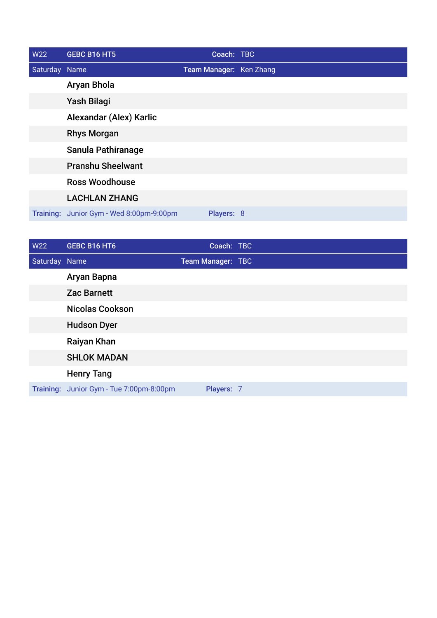| <b>W22</b>    | GEBC B16 HT5                             | Coach: TBC              |  |
|---------------|------------------------------------------|-------------------------|--|
| Saturday Name |                                          | Team Manager: Ken Zhang |  |
|               | Aryan Bhola                              |                         |  |
|               | Yash Bilagi                              |                         |  |
|               | Alexandar (Alex) Karlic                  |                         |  |
|               | <b>Rhys Morgan</b>                       |                         |  |
|               | Sanula Pathiranage                       |                         |  |
|               | <b>Pranshu Sheelwant</b>                 |                         |  |
|               | <b>Ross Woodhouse</b>                    |                         |  |
|               | <b>LACHLAN ZHANG</b>                     |                         |  |
|               | Training: Junior Gym - Wed 8:00pm-9:00pm | Players: 8              |  |

| W22           | <b>GEBC B16 HT6</b>                      | Coach: TBC               |  |
|---------------|------------------------------------------|--------------------------|--|
| Saturday Name |                                          | <b>Team Manager: TBC</b> |  |
|               | Aryan Bapna                              |                          |  |
|               | <b>Zac Barnett</b>                       |                          |  |
|               | <b>Nicolas Cookson</b>                   |                          |  |
|               | <b>Hudson Dyer</b>                       |                          |  |
|               | Raiyan Khan                              |                          |  |
|               | <b>SHLOK MADAN</b>                       |                          |  |
|               | <b>Henry Tang</b>                        |                          |  |
|               | Training: Junior Gym - Tue 7:00pm-8:00pm | Players: 7               |  |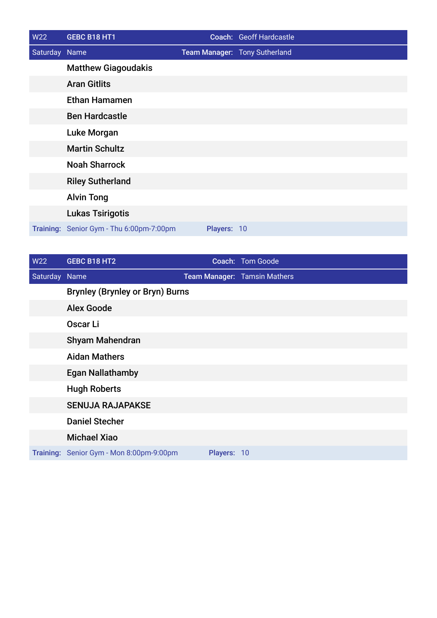| W22           | GEBC B18 HT1                             |             | Coach: Geoff Hardcastle       |
|---------------|------------------------------------------|-------------|-------------------------------|
| Saturday Name |                                          |             | Team Manager: Tony Sutherland |
|               | <b>Matthew Giagoudakis</b>               |             |                               |
|               | <b>Aran Gitlits</b>                      |             |                               |
|               | <b>Ethan Hamamen</b>                     |             |                               |
|               | <b>Ben Hardcastle</b>                    |             |                               |
|               | Luke Morgan                              |             |                               |
|               | <b>Martin Schultz</b>                    |             |                               |
|               | <b>Noah Sharrock</b>                     |             |                               |
|               | <b>Riley Sutherland</b>                  |             |                               |
|               | <b>Alvin Tong</b>                        |             |                               |
|               | <b>Lukas Tsirigotis</b>                  |             |                               |
|               | Training: Senior Gym - Thu 6:00pm-7:00pm | Players: 10 |                               |

| W22           | GEBC B18 HT2                             |             | Coach: Tom Goode             |
|---------------|------------------------------------------|-------------|------------------------------|
| Saturday Name |                                          |             | Team Manager: Tamsin Mathers |
|               | <b>Brynley (Brynley or Bryn) Burns</b>   |             |                              |
|               | <b>Alex Goode</b>                        |             |                              |
|               | Oscar Li                                 |             |                              |
|               | <b>Shyam Mahendran</b>                   |             |                              |
|               | <b>Aidan Mathers</b>                     |             |                              |
|               | <b>Egan Nallathamby</b>                  |             |                              |
|               | <b>Hugh Roberts</b>                      |             |                              |
|               | <b>SENUJA RAJAPAKSE</b>                  |             |                              |
|               | <b>Daniel Stecher</b>                    |             |                              |
|               | <b>Michael Xiao</b>                      |             |                              |
|               | Training: Senior Gym - Mon 8:00pm-9:00pm | Players: 10 |                              |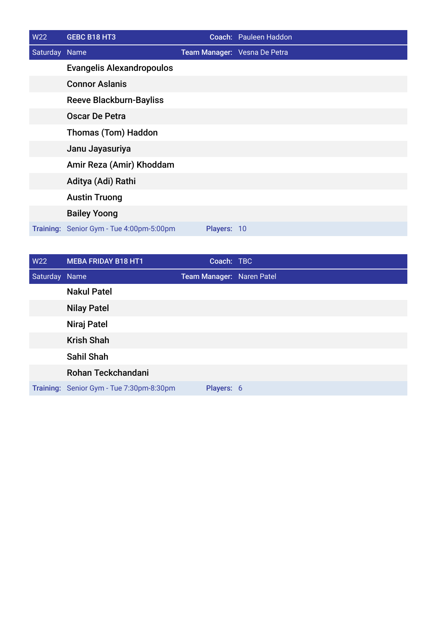| <b>W22</b>    | GEBC B18 HT3                             |             | Coach: Pauleen Haddon        |
|---------------|------------------------------------------|-------------|------------------------------|
| Saturday Name |                                          |             | Team Manager: Vesna De Petra |
|               | <b>Evangelis Alexandropoulos</b>         |             |                              |
|               | <b>Connor Aslanis</b>                    |             |                              |
|               | <b>Reeve Blackburn-Bayliss</b>           |             |                              |
|               | <b>Oscar De Petra</b>                    |             |                              |
|               | <b>Thomas (Tom) Haddon</b>               |             |                              |
|               | Janu Jayasuriya                          |             |                              |
|               | Amir Reza (Amir) Khoddam                 |             |                              |
|               | Aditya (Adi) Rathi                       |             |                              |
|               | <b>Austin Truong</b>                     |             |                              |
|               | <b>Bailey Yoong</b>                      |             |                              |
|               | Training: Senior Gym - Tue 4:00pm-5:00pm | Players: 10 |                              |

| W22           | <b>MEBA FRIDAY B18 HT1</b>               | Coach: TBC                |  |
|---------------|------------------------------------------|---------------------------|--|
| Saturday Name |                                          | Team Manager: Naren Patel |  |
|               | <b>Nakul Patel</b>                       |                           |  |
|               | <b>Nilay Patel</b>                       |                           |  |
|               | Niraj Patel                              |                           |  |
|               | <b>Krish Shah</b>                        |                           |  |
|               | <b>Sahil Shah</b>                        |                           |  |
|               | Rohan Teckchandani                       |                           |  |
|               | Training: Senior Gym - Tue 7:30pm-8:30pm | Players: 6                |  |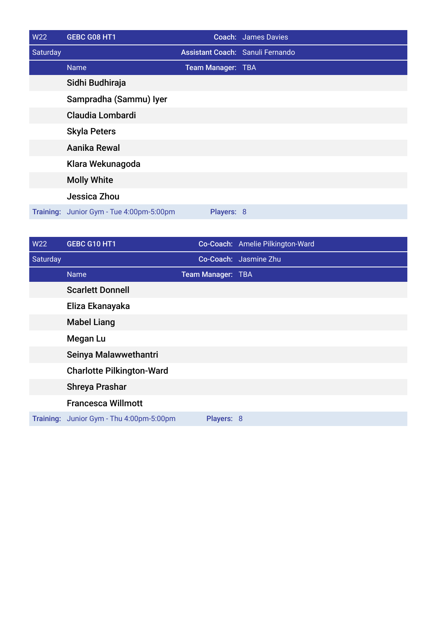| W22      | GEBC G08 HT1                             |                                         | <b>Coach: James Davies</b> |
|----------|------------------------------------------|-----------------------------------------|----------------------------|
| Saturday |                                          | <b>Assistant Coach: Sanuli Fernando</b> |                            |
|          | <b>Name</b>                              | Team Manager: TBA                       |                            |
|          | Sidhi Budhiraja                          |                                         |                            |
|          | Sampradha (Sammu) Iyer                   |                                         |                            |
|          | <b>Claudia Lombardi</b>                  |                                         |                            |
|          | <b>Skyla Peters</b>                      |                                         |                            |
|          | Aanika Rewal                             |                                         |                            |
|          | Klara Wekunagoda                         |                                         |                            |
|          | <b>Molly White</b>                       |                                         |                            |
|          | Jessica Zhou                             |                                         |                            |
|          | Training: Junior Gym - Tue 4:00pm-5:00pm | Players: 8                              |                            |

| W22      | GEBC G10 HT1                             |                   | Co-Coach: Amelie Pilkington-Ward |
|----------|------------------------------------------|-------------------|----------------------------------|
| Saturday |                                          |                   | Co-Coach: Jasmine Zhu            |
|          | <b>Name</b>                              | Team Manager: TBA |                                  |
|          | <b>Scarlett Donnell</b>                  |                   |                                  |
|          | Eliza Ekanayaka                          |                   |                                  |
|          | <b>Mabel Liang</b>                       |                   |                                  |
|          | <b>Megan Lu</b>                          |                   |                                  |
|          | Seinya Malawwethantri                    |                   |                                  |
|          | <b>Charlotte Pilkington-Ward</b>         |                   |                                  |
|          | <b>Shreya Prashar</b>                    |                   |                                  |
|          | <b>Francesca Willmott</b>                |                   |                                  |
|          | Training: Junior Gym - Thu 4:00pm-5:00pm | Players: 8        |                                  |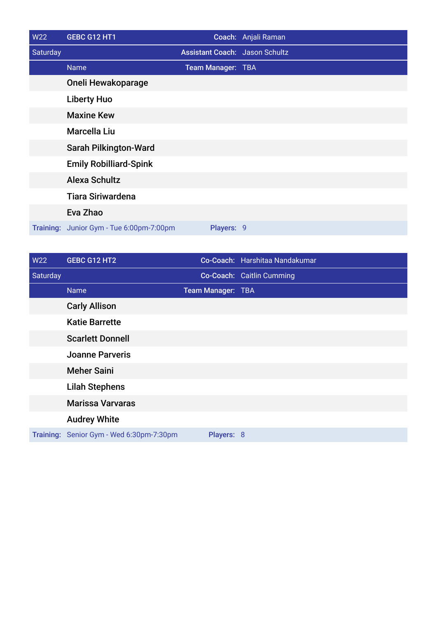| <b>W22</b> | GEBC G12 HT1                             |                                       | Coach: Anjali Raman |
|------------|------------------------------------------|---------------------------------------|---------------------|
| Saturday   |                                          | <b>Assistant Coach: Jason Schultz</b> |                     |
|            | <b>Name</b>                              | Team Manager: TBA                     |                     |
|            | Oneli Hewakoparage                       |                                       |                     |
|            | <b>Liberty Huo</b>                       |                                       |                     |
|            | <b>Maxine Kew</b>                        |                                       |                     |
|            | <b>Marcella Liu</b>                      |                                       |                     |
|            | <b>Sarah Pilkington-Ward</b>             |                                       |                     |
|            | <b>Emily Robilliard-Spink</b>            |                                       |                     |
|            | <b>Alexa Schultz</b>                     |                                       |                     |
|            | <b>Tiara Siriwardena</b>                 |                                       |                     |
|            | Eva Zhao                                 |                                       |                     |
|            | Training: Junior Gym - Tue 6:00pm-7:00pm | Players: 9                            |                     |

| W22      | GEBC G12 HT2                             |                   | Co-Coach: Harshitaa Nandakumar |
|----------|------------------------------------------|-------------------|--------------------------------|
| Saturday |                                          |                   | Co-Coach: Caitlin Cumming      |
|          | <b>Name</b>                              | Team Manager: TBA |                                |
|          | <b>Carly Allison</b>                     |                   |                                |
|          | <b>Katie Barrette</b>                    |                   |                                |
|          | <b>Scarlett Donnell</b>                  |                   |                                |
|          | <b>Joanne Parveris</b>                   |                   |                                |
|          | <b>Meher Saini</b>                       |                   |                                |
|          | <b>Lilah Stephens</b>                    |                   |                                |
|          | <b>Marissa Varvaras</b>                  |                   |                                |
|          | <b>Audrey White</b>                      |                   |                                |
|          | Training: Senior Gym - Wed 6:30pm-7:30pm | Players: 8        |                                |
|          |                                          |                   |                                |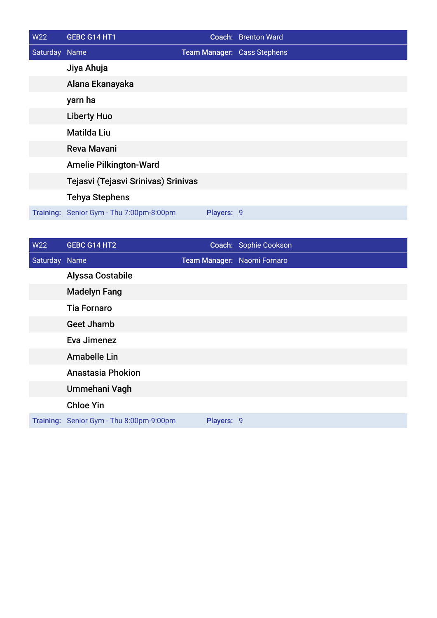| W22           | GEBC G14 HT1                             |            | Coach: Brenton Ward         |
|---------------|------------------------------------------|------------|-----------------------------|
| Saturday Name |                                          |            | Team Manager: Cass Stephens |
|               | Jiya Ahuja                               |            |                             |
|               | Alana Ekanayaka                          |            |                             |
|               | yarn ha                                  |            |                             |
|               | <b>Liberty Huo</b>                       |            |                             |
|               | <b>Matilda Liu</b>                       |            |                             |
|               | <b>Reva Mavani</b>                       |            |                             |
|               | <b>Amelie Pilkington-Ward</b>            |            |                             |
|               | Tejasvi (Tejasvi Srinivas) Srinivas      |            |                             |
|               | <b>Tehya Stephens</b>                    |            |                             |
|               | Training: Senior Gym - Thu 7:00pm-8:00pm | Players: 9 |                             |

| W22           | GEBC G14 HT2                             |                             | Coach: Sophie Cookson |
|---------------|------------------------------------------|-----------------------------|-----------------------|
| Saturday Name |                                          | Team Manager: Naomi Fornaro |                       |
|               | <b>Alyssa Costabile</b>                  |                             |                       |
|               | <b>Madelyn Fang</b>                      |                             |                       |
|               | <b>Tia Fornaro</b>                       |                             |                       |
|               | <b>Geet Jhamb</b>                        |                             |                       |
|               | Eva Jimenez                              |                             |                       |
|               | <b>Amabelle Lin</b>                      |                             |                       |
|               | <b>Anastasia Phokion</b>                 |                             |                       |
|               | Ummehani Vagh                            |                             |                       |
|               | <b>Chloe Yin</b>                         |                             |                       |
|               | Training: Senior Gym - Thu 8:00pm-9:00pm | Players: 9                  |                       |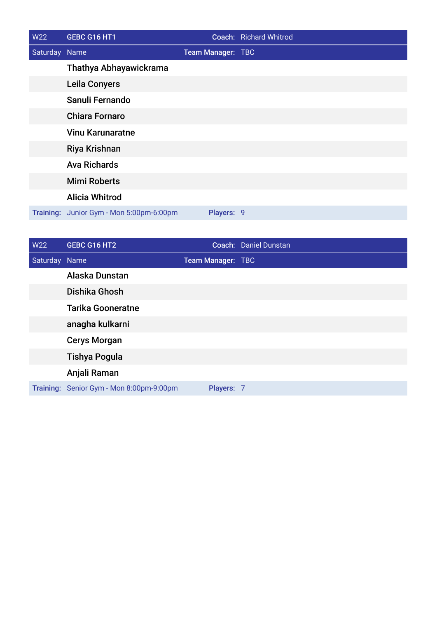| W22           | GEBC G16 HT1                             |                   | Coach: Richard Whitrod |
|---------------|------------------------------------------|-------------------|------------------------|
| Saturday Name |                                          | Team Manager: TBC |                        |
|               | Thathya Abhayawickrama                   |                   |                        |
|               | <b>Leila Conyers</b>                     |                   |                        |
|               | Sanuli Fernando                          |                   |                        |
|               | <b>Chiara Fornaro</b>                    |                   |                        |
|               | <b>Vinu Karunaratne</b>                  |                   |                        |
|               | Riya Krishnan                            |                   |                        |
|               | <b>Ava Richards</b>                      |                   |                        |
|               | <b>Mimi Roberts</b>                      |                   |                        |
|               | <b>Alicia Whitrod</b>                    |                   |                        |
|               | Training: Junior Gym - Mon 5:00pm-6:00pm | Players: 9        |                        |

| W22           | GEBC G16 HT2                             |                   | Coach: Daniel Dunstan |
|---------------|------------------------------------------|-------------------|-----------------------|
| Saturday Name |                                          | Team Manager: TBC |                       |
|               | Alaska Dunstan                           |                   |                       |
|               | Dishika Ghosh                            |                   |                       |
|               | <b>Tarika Gooneratne</b>                 |                   |                       |
|               | anagha kulkarni                          |                   |                       |
|               | <b>Cerys Morgan</b>                      |                   |                       |
|               | <b>Tishya Pogula</b>                     |                   |                       |
|               | Anjali Raman                             |                   |                       |
|               | Training: Senior Gym - Mon 8:00pm-9:00pm | Players: 7        |                       |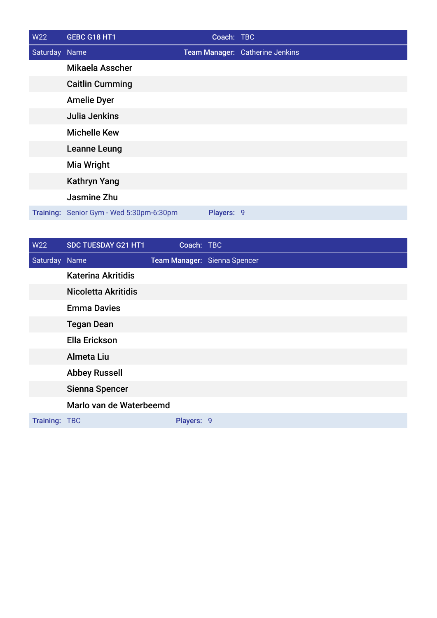| W22           | GEBC G18 HT1                             | Coach: TBC |                                 |
|---------------|------------------------------------------|------------|---------------------------------|
| Saturday Name |                                          |            | Team Manager: Catherine Jenkins |
|               | Mikaela Asscher                          |            |                                 |
|               | <b>Caitlin Cumming</b>                   |            |                                 |
|               | <b>Amelie Dyer</b>                       |            |                                 |
|               | Julia Jenkins                            |            |                                 |
|               | <b>Michelle Kew</b>                      |            |                                 |
|               | <b>Leanne Leung</b>                      |            |                                 |
|               | <b>Mia Wright</b>                        |            |                                 |
|               | <b>Kathryn Yang</b>                      |            |                                 |
|               | Jasmine Zhu                              |            |                                 |
|               | Training: Senior Gym - Wed 5:30pm-6:30pm | Players: 9 |                                 |

| W22           | SDC TUESDAY G21 HT1        | Coach: TBC |                              |
|---------------|----------------------------|------------|------------------------------|
| Saturday Name |                            |            | Team Manager: Sienna Spencer |
|               | <b>Katerina Akritidis</b>  |            |                              |
|               | <b>Nicoletta Akritidis</b> |            |                              |
|               | <b>Emma Davies</b>         |            |                              |
|               | <b>Tegan Dean</b>          |            |                              |
|               | <b>Ella Erickson</b>       |            |                              |
|               | Almeta Liu                 |            |                              |
|               | <b>Abbey Russell</b>       |            |                              |
|               | Sienna Spencer             |            |                              |
|               | Marlo van de Waterbeemd    |            |                              |
| Training: TBC |                            | Players: 9 |                              |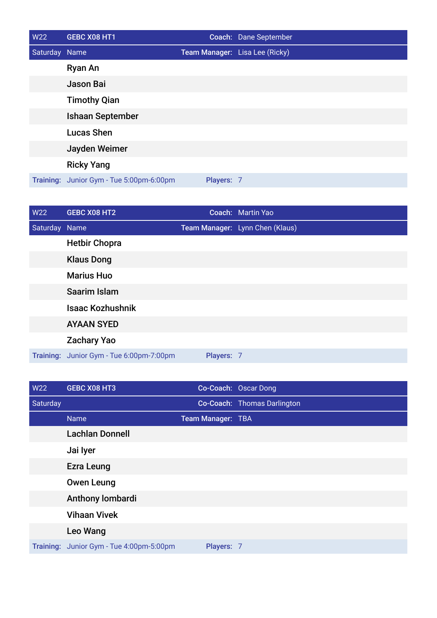| <b>W22</b>    | GEBC X08 HT1                             |            | Coach: Dane September          |
|---------------|------------------------------------------|------------|--------------------------------|
| Saturday Name |                                          |            | Team Manager: Lisa Lee (Ricky) |
|               | Ryan An                                  |            |                                |
|               | Jason Bai                                |            |                                |
|               | <b>Timothy Qian</b>                      |            |                                |
|               | <b>Ishaan September</b>                  |            |                                |
|               | <b>Lucas Shen</b>                        |            |                                |
|               | Jayden Weimer                            |            |                                |
|               | <b>Ricky Yang</b>                        |            |                                |
|               | Training: Junior Gym - Tue 5:00pm-6:00pm | Players: 7 |                                |

| <b>W22</b>    | GEBC X08 HT2                   |            | Coach: Martin Yao               |
|---------------|--------------------------------|------------|---------------------------------|
| Saturday Name |                                |            | Team Manager: Lynn Chen (Klaus) |
|               | <b>Hetbir Chopra</b>           |            |                                 |
|               | <b>Klaus Dong</b>              |            |                                 |
|               | <b>Marius Huo</b>              |            |                                 |
|               | Saarim Islam                   |            |                                 |
|               | <b>Isaac Kozhushnik</b>        |            |                                 |
|               | <b>AYAAN SYED</b>              |            |                                 |
|               | <b>Zachary Yao</b>             |            |                                 |
| Training:     | Junior Gym - Tue 6:00pm-7:00pm | Players: 7 |                                 |

| W22      | <b>GEBC X08 HT3</b>                      |                   | Co-Coach: Oscar Dong        |
|----------|------------------------------------------|-------------------|-----------------------------|
| Saturday |                                          |                   | Co-Coach: Thomas Darlington |
|          | <b>Name</b>                              | Team Manager: TBA |                             |
|          | <b>Lachlan Donnell</b>                   |                   |                             |
|          | Jai lyer                                 |                   |                             |
|          | <b>Ezra Leung</b>                        |                   |                             |
|          | <b>Owen Leung</b>                        |                   |                             |
|          | Anthony lombardi                         |                   |                             |
|          | <b>Vihaan Vivek</b>                      |                   |                             |
|          | Leo Wang                                 |                   |                             |
|          | Training: Junior Gym - Tue 4:00pm-5:00pm | Players: 7        |                             |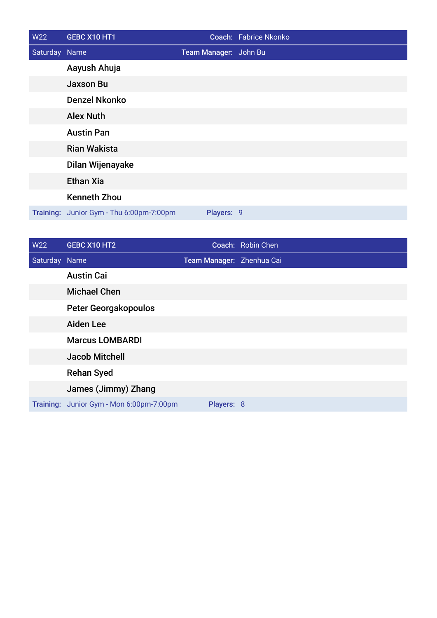| W22           | GEBC X10 HT1                             |                       | Coach: Fabrice Nkonko |
|---------------|------------------------------------------|-----------------------|-----------------------|
| Saturday Name |                                          | Team Manager: John Bu |                       |
|               | Aayush Ahuja                             |                       |                       |
|               | <b>Jaxson Bu</b>                         |                       |                       |
|               | <b>Denzel Nkonko</b>                     |                       |                       |
|               | <b>Alex Nuth</b>                         |                       |                       |
|               | <b>Austin Pan</b>                        |                       |                       |
|               | <b>Rian Wakista</b>                      |                       |                       |
|               | Dilan Wijenayake                         |                       |                       |
|               | <b>Ethan Xia</b>                         |                       |                       |
|               | <b>Kenneth Zhou</b>                      |                       |                       |
|               | Training: Junior Gym - Thu 6:00pm-7:00pm | Players: 9            |                       |

| W22           | GEBC X10 HT2                             |                           | Coach: Robin Chen |
|---------------|------------------------------------------|---------------------------|-------------------|
| Saturday Name |                                          | Team Manager: Zhenhua Cai |                   |
|               | <b>Austin Cai</b>                        |                           |                   |
|               | <b>Michael Chen</b>                      |                           |                   |
|               | <b>Peter Georgakopoulos</b>              |                           |                   |
|               | <b>Aiden Lee</b>                         |                           |                   |
|               | <b>Marcus LOMBARDI</b>                   |                           |                   |
|               | <b>Jacob Mitchell</b>                    |                           |                   |
|               | <b>Rehan Syed</b>                        |                           |                   |
|               | James (Jimmy) Zhang                      |                           |                   |
|               | Training: Junior Gym - Mon 6:00pm-7:00pm | Players: 8                |                   |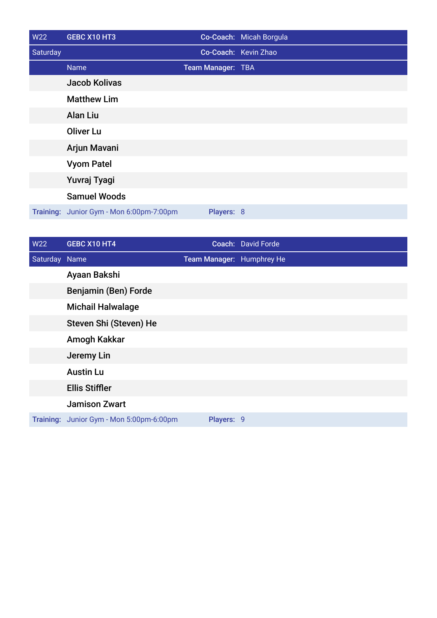| W22      | GEBC X10 HT3                             |                   | Co-Coach: Micah Borgula |
|----------|------------------------------------------|-------------------|-------------------------|
| Saturday |                                          |                   | Co-Coach: Kevin Zhao    |
|          | <b>Name</b>                              | Team Manager: TBA |                         |
|          | <b>Jacob Kolivas</b>                     |                   |                         |
|          | <b>Matthew Lim</b>                       |                   |                         |
|          | <b>Alan Liu</b>                          |                   |                         |
|          | <b>Oliver Lu</b>                         |                   |                         |
|          | Arjun Mavani                             |                   |                         |
|          | <b>Vyom Patel</b>                        |                   |                         |
|          | Yuvraj Tyagi                             |                   |                         |
|          | <b>Samuel Woods</b>                      |                   |                         |
|          | Training: Junior Gym - Mon 6:00pm-7:00pm | Players: 8        |                         |

| <b>W22</b>    | GEBC X10 HT4                             |                           | Coach: David Forde |
|---------------|------------------------------------------|---------------------------|--------------------|
| Saturday Name |                                          | Team Manager: Humphrey He |                    |
|               | Ayaan Bakshi                             |                           |                    |
|               | Benjamin (Ben) Forde                     |                           |                    |
|               | <b>Michail Halwalage</b>                 |                           |                    |
|               | Steven Shi (Steven) He                   |                           |                    |
|               | Amogh Kakkar                             |                           |                    |
|               | Jeremy Lin                               |                           |                    |
|               | <b>Austin Lu</b>                         |                           |                    |
|               | <b>Ellis Stiffler</b>                    |                           |                    |
|               | <b>Jamison Zwart</b>                     |                           |                    |
|               | Training: Junior Gym - Mon 5:00pm-6:00pm | Players: 9                |                    |